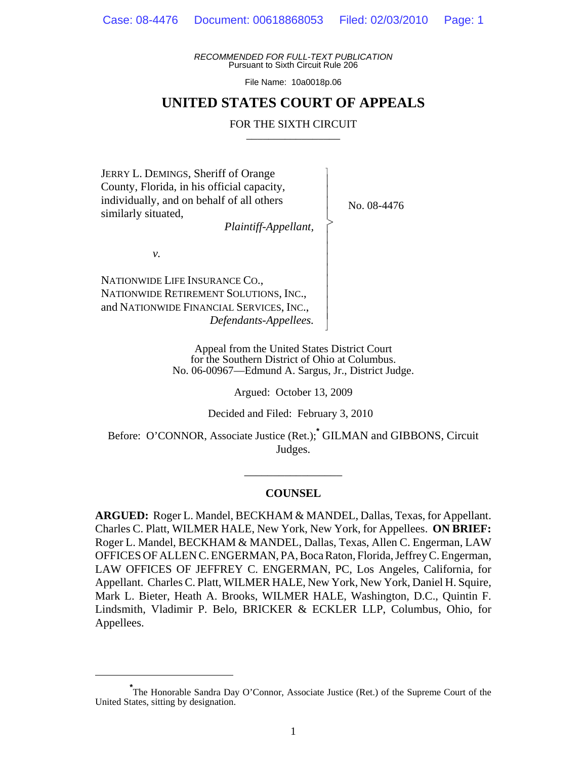*RECOMMENDED FOR FULL-TEXT PUBLICATION* Pursuant to Sixth Circuit Rule 206

File Name: 10a0018p.06

## **UNITED STATES COURT OF APPEALS**

### FOR THE SIXTH CIRCUIT

 $\overline{\phantom{a}}$ - - - > , - - - - - - - - N

JERRY L. DEMINGS, Sheriff of Orange County, Florida, in his official capacity, individually, and on behalf of all others similarly situated,

*Plaintiff-Appellant,*

No. 08-4476

*v.*

NATIONWIDE LIFE INSURANCE CO., NATIONWIDE RETIREMENT SOLUTIONS, INC., and NATIONWIDE FINANCIAL SERVICES, INC., *Defendants-Appellees.*

> Appeal from the United States District Court for the Southern District of Ohio at Columbus. No. 06-00967—Edmund A. Sargus, Jr., District Judge.

> > Argued: October 13, 2009

Decided and Filed: February 3, 2010

Before: O'CONNOR, Associate Justice (Ret.);**\*** GILMAN and GIBBONS, Circuit Judges.

#### **COUNSEL**

\_\_\_\_\_\_\_\_\_\_\_\_\_\_\_\_\_

**ARGUED:** Roger L. Mandel, BECKHAM & MANDEL, Dallas, Texas, for Appellant. Charles C. Platt, WILMER HALE, New York, New York, for Appellees. **ON BRIEF:** Roger L. Mandel, BECKHAM & MANDEL, Dallas, Texas, Allen C. Engerman, LAW OFFICES OF ALLEN C. ENGERMAN, PA, Boca Raton, Florida, Jeffrey C. Engerman, LAW OFFICES OF JEFFREY C. ENGERMAN, PC, Los Angeles, California, for Appellant. Charles C. Platt, WILMER HALE, New York, New York, Daniel H. Squire, Mark L. Bieter, Heath A. Brooks, WILMER HALE, Washington, D.C., Quintin F. Lindsmith, Vladimir P. Belo, BRICKER & ECKLER LLP, Columbus, Ohio, for Appellees.

<sup>\*&</sup>lt;br>
The Honorable Sandra Day O'Connor, Associate Justice (Ret.) of the Supreme Court of the United States, sitting by designation.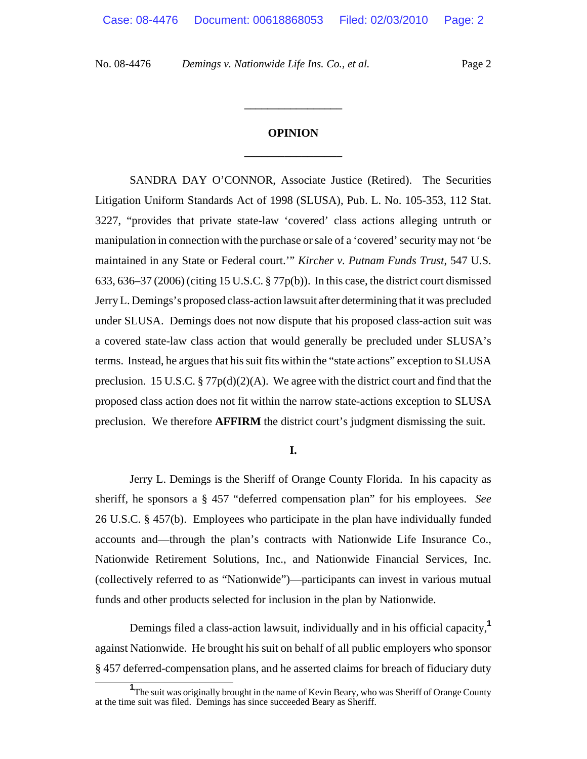# **OPINION \_\_\_\_\_\_\_\_\_\_\_\_\_\_\_\_\_**

**\_\_\_\_\_\_\_\_\_\_\_\_\_\_\_\_\_**

SANDRA DAY O'CONNOR, Associate Justice (Retired). The Securities Litigation Uniform Standards Act of 1998 (SLUSA), Pub. L. No. 105-353, 112 Stat. 3227, "provides that private state-law 'covered' class actions alleging untruth or manipulation in connection with the purchase or sale of a 'covered' security may not 'be maintained in any State or Federal court.'" *Kircher v. Putnam Funds Trust*, 547 U.S. 633, 636–37 (2006) (citing 15 U.S.C. § 77p(b)). In this case, the district court dismissed Jerry L. Demings's proposed class-action lawsuit after determining that it was precluded under SLUSA. Demings does not now dispute that his proposed class-action suit was a covered state-law class action that would generally be precluded under SLUSA's terms. Instead, he argues that his suit fits within the "state actions" exception to SLUSA preclusion. 15 U.S.C.  $\S 77p(d)(2)(A)$ . We agree with the district court and find that the proposed class action does not fit within the narrow state-actions exception to SLUSA preclusion. We therefore **AFFIRM** the district court's judgment dismissing the suit.

**I.**

Jerry L. Demings is the Sheriff of Orange County Florida. In his capacity as sheriff, he sponsors a § 457 "deferred compensation plan" for his employees. *See* 26 U.S.C. § 457(b). Employees who participate in the plan have individually funded accounts and—through the plan's contracts with Nationwide Life Insurance Co., Nationwide Retirement Solutions, Inc., and Nationwide Financial Services, Inc. (collectively referred to as "Nationwide")—participants can invest in various mutual funds and other products selected for inclusion in the plan by Nationwide.

Demings filed a class-action lawsuit, individually and in his official capacity,**<sup>1</sup>** against Nationwide. He brought his suit on behalf of all public employers who sponsor § 457 deferred-compensation plans, and he asserted claims for breach of fiduciary duty

<sup>&</sup>lt;sup>1</sup>The suit was originally brought in the name of Kevin Beary, who was Sheriff of Orange County at the time suit was filed. Demings has since succeeded Beary as Sheriff.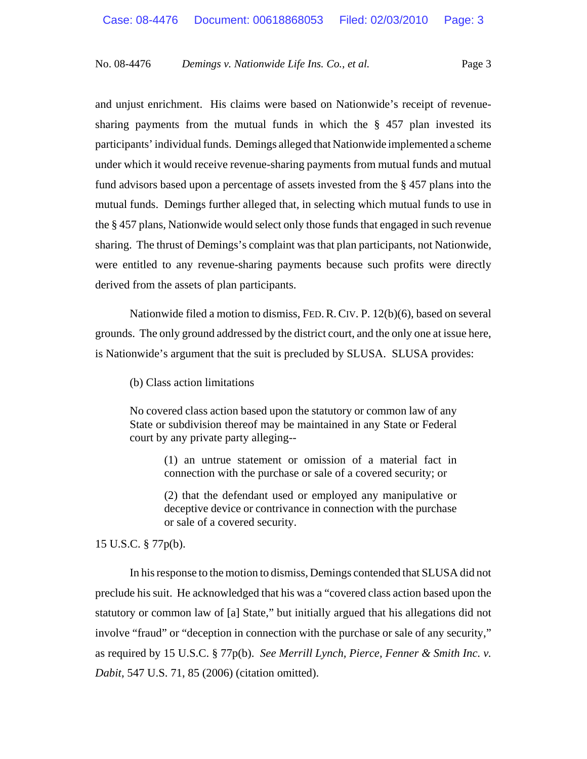and unjust enrichment. His claims were based on Nationwide's receipt of revenuesharing payments from the mutual funds in which the § 457 plan invested its participants' individual funds. Demings alleged that Nationwide implemented a scheme under which it would receive revenue-sharing payments from mutual funds and mutual fund advisors based upon a percentage of assets invested from the § 457 plans into the mutual funds. Demings further alleged that, in selecting which mutual funds to use in the § 457 plans, Nationwide would select only those funds that engaged in such revenue sharing. The thrust of Demings's complaint was that plan participants, not Nationwide, were entitled to any revenue-sharing payments because such profits were directly derived from the assets of plan participants.

Nationwide filed a motion to dismiss, FED.R.CIV. P. 12(b)(6), based on several grounds. The only ground addressed by the district court, and the only one at issue here, is Nationwide's argument that the suit is precluded by SLUSA. SLUSA provides:

(b) Class action limitations

No covered class action based upon the statutory or common law of any State or subdivision thereof may be maintained in any State or Federal court by any private party alleging--

> (1) an untrue statement or omission of a material fact in connection with the purchase or sale of a covered security; or

> (2) that the defendant used or employed any manipulative or deceptive device or contrivance in connection with the purchase or sale of a covered security.

15 U.S.C. § 77p(b).

In his response to the motion to dismiss, Demings contended that SLUSA did not preclude his suit. He acknowledged that his was a "covered class action based upon the statutory or common law of [a] State," but initially argued that his allegations did not involve "fraud" or "deception in connection with the purchase or sale of any security," as required by 15 U.S.C. § 77p(b). *See Merrill Lynch, Pierce, Fenner & Smith Inc. v. Dabit*, 547 U.S. 71, 85 (2006) (citation omitted).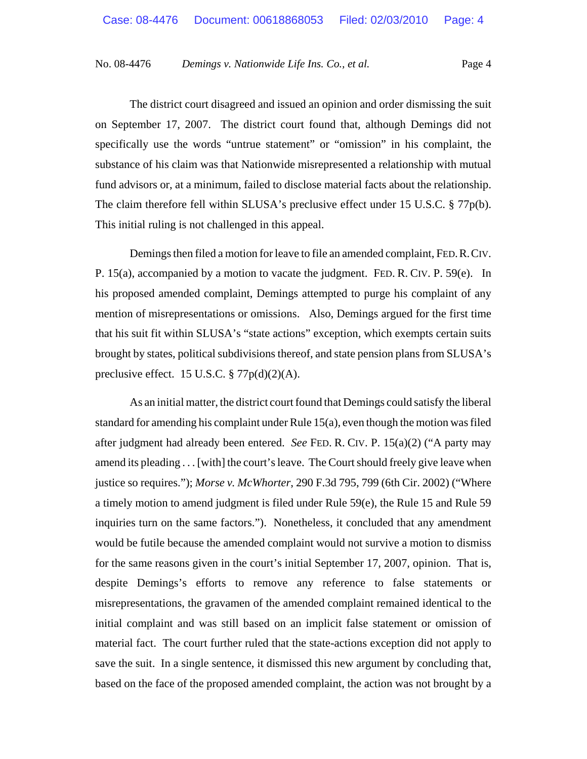The district court disagreed and issued an opinion and order dismissing the suit on September 17, 2007. The district court found that, although Demings did not specifically use the words "untrue statement" or "omission" in his complaint, the substance of his claim was that Nationwide misrepresented a relationship with mutual fund advisors or, at a minimum, failed to disclose material facts about the relationship. The claim therefore fell within SLUSA's preclusive effect under 15 U.S.C. § 77p(b). This initial ruling is not challenged in this appeal.

Demings then filed a motion for leave to file an amended complaint, FED.R.CIV. P. 15(a), accompanied by a motion to vacate the judgment. FED. R. CIV. P. 59(e). In his proposed amended complaint, Demings attempted to purge his complaint of any mention of misrepresentations or omissions. Also, Demings argued for the first time that his suit fit within SLUSA's "state actions" exception, which exempts certain suits brought by states, political subdivisions thereof, and state pension plans from SLUSA's preclusive effect. 15 U.S.C. § 77p(d)(2)(A).

As an initial matter, the district court found that Demings could satisfy the liberal standard for amending his complaint under Rule 15(a), even though the motion was filed after judgment had already been entered. *See* FED. R. CIV. P. 15(a)(2) ("A party may amend its pleading . . . [with] the court's leave. The Court should freely give leave when justice so requires."); *Morse v. McWhorter*, 290 F.3d 795, 799 (6th Cir. 2002) ("Where a timely motion to amend judgment is filed under Rule 59(e), the Rule 15 and Rule 59 inquiries turn on the same factors."). Nonetheless, it concluded that any amendment would be futile because the amended complaint would not survive a motion to dismiss for the same reasons given in the court's initial September 17, 2007, opinion. That is, despite Demings's efforts to remove any reference to false statements or misrepresentations, the gravamen of the amended complaint remained identical to the initial complaint and was still based on an implicit false statement or omission of material fact. The court further ruled that the state-actions exception did not apply to save the suit. In a single sentence, it dismissed this new argument by concluding that, based on the face of the proposed amended complaint, the action was not brought by a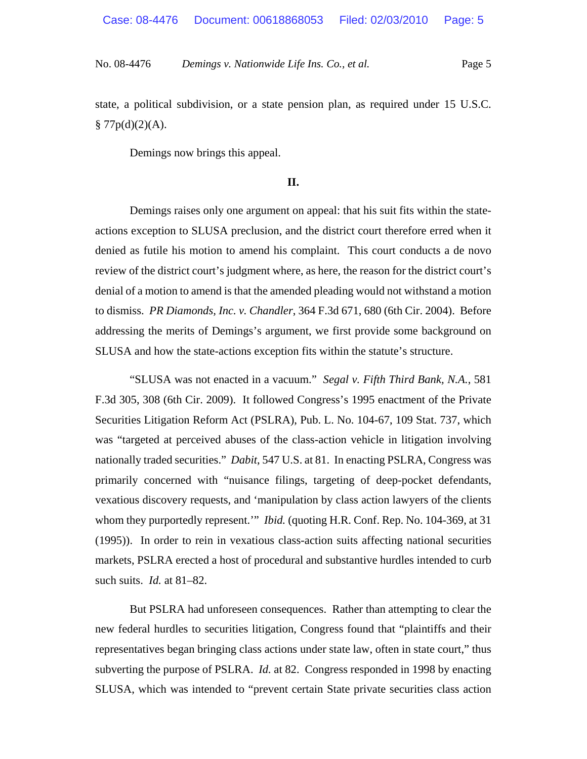state, a political subdivision, or a state pension plan, as required under 15 U.S.C.  $§ 77p(d)(2)(A).$ 

Demings now brings this appeal.

## **II.**

Demings raises only one argument on appeal: that his suit fits within the stateactions exception to SLUSA preclusion, and the district court therefore erred when it denied as futile his motion to amend his complaint. This court conducts a de novo review of the district court's judgment where, as here, the reason for the district court's denial of a motion to amend is that the amended pleading would not withstand a motion to dismiss. *PR Diamonds, Inc. v. Chandler*, 364 F.3d 671, 680 (6th Cir. 2004). Before addressing the merits of Demings's argument, we first provide some background on SLUSA and how the state-actions exception fits within the statute's structure.

"SLUSA was not enacted in a vacuum." *Segal v. Fifth Third Bank, N.A.*, 581 F.3d 305, 308 (6th Cir. 2009). It followed Congress's 1995 enactment of the Private Securities Litigation Reform Act (PSLRA), Pub. L. No. 104-67, 109 Stat. 737, which was "targeted at perceived abuses of the class-action vehicle in litigation involving nationally traded securities." *Dabit*, 547 U.S. at 81. In enacting PSLRA, Congress was primarily concerned with "nuisance filings, targeting of deep-pocket defendants, vexatious discovery requests, and 'manipulation by class action lawyers of the clients whom they purportedly represent.'" *Ibid.* (quoting H.R. Conf. Rep. No. 104-369, at 31 (1995)). In order to rein in vexatious class-action suits affecting national securities markets, PSLRA erected a host of procedural and substantive hurdles intended to curb such suits. *Id.* at 81–82.

But PSLRA had unforeseen consequences. Rather than attempting to clear the new federal hurdles to securities litigation, Congress found that "plaintiffs and their representatives began bringing class actions under state law, often in state court," thus subverting the purpose of PSLRA. *Id.* at 82. Congress responded in 1998 by enacting SLUSA, which was intended to "prevent certain State private securities class action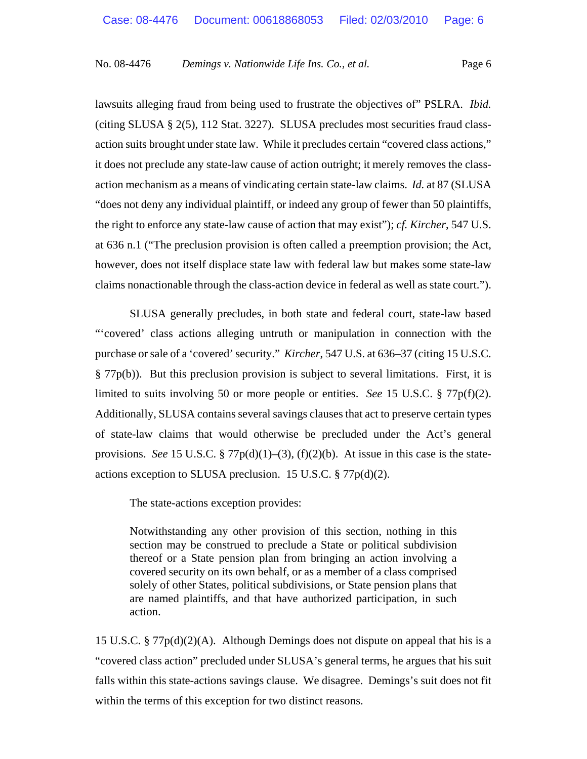lawsuits alleging fraud from being used to frustrate the objectives of" PSLRA. *Ibid.* (citing SLUSA § 2(5), 112 Stat. 3227). SLUSA precludes most securities fraud classaction suits brought under state law. While it precludes certain "covered class actions," it does not preclude any state-law cause of action outright; it merely removes the classaction mechanism as a means of vindicating certain state-law claims. *Id.* at 87 (SLUSA "does not deny any individual plaintiff, or indeed any group of fewer than 50 plaintiffs, the right to enforce any state-law cause of action that may exist"); *cf. Kircher*, 547 U.S. at 636 n.1 ("The preclusion provision is often called a preemption provision; the Act, however, does not itself displace state law with federal law but makes some state-law claims nonactionable through the class-action device in federal as well as state court.").

SLUSA generally precludes, in both state and federal court, state-law based "'covered' class actions alleging untruth or manipulation in connection with the purchase or sale of a 'covered' security." *Kircher*, 547 U.S. at 636–37 (citing 15 U.S.C. § 77p(b)). But this preclusion provision is subject to several limitations. First, it is limited to suits involving 50 or more people or entities. *See* 15 U.S.C. § 77p(f)(2). Additionally, SLUSA contains several savings clauses that act to preserve certain types of state-law claims that would otherwise be precluded under the Act's general provisions. *See* 15 U.S.C. § 77 $p(d)(1)$ –(3), (f)(2)(b). At issue in this case is the stateactions exception to SLUSA preclusion. 15 U.S.C. § 77p(d)(2).

The state-actions exception provides:

Notwithstanding any other provision of this section, nothing in this section may be construed to preclude a State or political subdivision thereof or a State pension plan from bringing an action involving a covered security on its own behalf, or as a member of a class comprised solely of other States, political subdivisions, or State pension plans that are named plaintiffs, and that have authorized participation, in such action.

15 U.S.C. § 77p(d)(2)(A). Although Demings does not dispute on appeal that his is a "covered class action" precluded under SLUSA's general terms, he argues that his suit falls within this state-actions savings clause. We disagree. Demings's suit does not fit within the terms of this exception for two distinct reasons.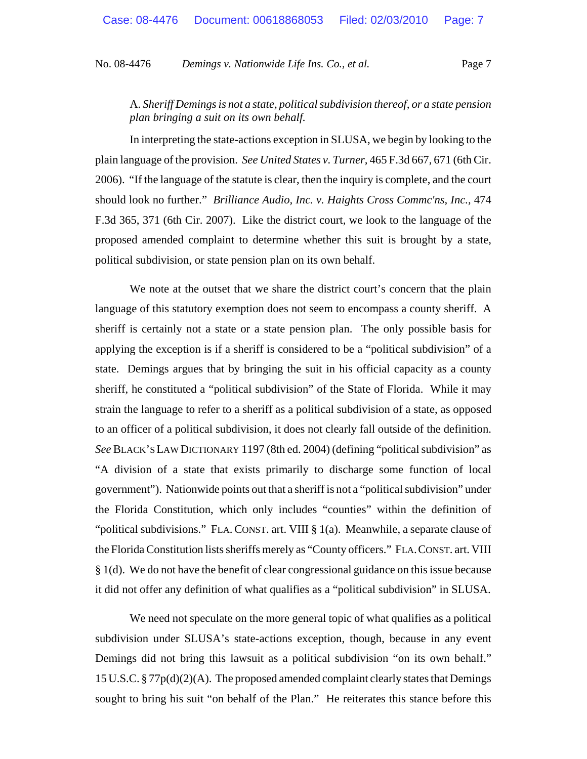A. *Sheriff Demings is not a state, political subdivision thereof, or a state pension plan bringing a suit on its own behalf.* 

In interpreting the state-actions exception in SLUSA, we begin by looking to the plain language of the provision. *See United States v. Turner,* 465 F.3d 667, 671 (6th Cir. 2006). "If the language of the statute is clear, then the inquiry is complete, and the court should look no further." *Brilliance Audio, Inc. v. Haights Cross Commc'ns, Inc.,* 474 F.3d 365, 371 (6th Cir. 2007). Like the district court, we look to the language of the proposed amended complaint to determine whether this suit is brought by a state, political subdivision, or state pension plan on its own behalf.

We note at the outset that we share the district court's concern that the plain language of this statutory exemption does not seem to encompass a county sheriff. A sheriff is certainly not a state or a state pension plan. The only possible basis for applying the exception is if a sheriff is considered to be a "political subdivision" of a state. Demings argues that by bringing the suit in his official capacity as a county sheriff, he constituted a "political subdivision" of the State of Florida. While it may strain the language to refer to a sheriff as a political subdivision of a state, as opposed to an officer of a political subdivision, it does not clearly fall outside of the definition. *See* BLACK'S LAW DICTIONARY 1197 (8th ed. 2004) (defining "political subdivision" as "A division of a state that exists primarily to discharge some function of local government"). Nationwide points out that a sheriff is not a "political subdivision" under the Florida Constitution, which only includes "counties" within the definition of "political subdivisions." FLA.CONST. art. VIII § 1(a). Meanwhile, a separate clause of the Florida Constitution lists sheriffs merely as "County officers." FLA.CONST. art. VIII § 1(d). We do not have the benefit of clear congressional guidance on this issue because it did not offer any definition of what qualifies as a "political subdivision" in SLUSA.

We need not speculate on the more general topic of what qualifies as a political subdivision under SLUSA's state-actions exception, though, because in any event Demings did not bring this lawsuit as a political subdivision "on its own behalf." 15 U.S.C. §  $77p(d)(2)(A)$ . The proposed amended complaint clearly states that Demings sought to bring his suit "on behalf of the Plan." He reiterates this stance before this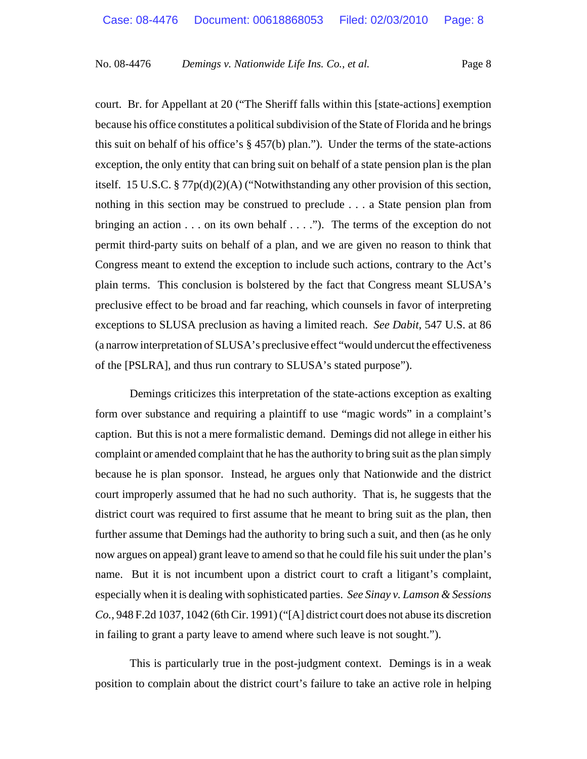court. Br. for Appellant at 20 ("The Sheriff falls within this [state-actions] exemption because his office constitutes a political subdivision of the State of Florida and he brings this suit on behalf of his office's  $\S 457(b)$  plan."). Under the terms of the state-actions exception, the only entity that can bring suit on behalf of a state pension plan is the plan itself. 15 U.S.C. § 77p(d)(2)(A) ("Notwithstanding any other provision of this section, nothing in this section may be construed to preclude . . . a State pension plan from bringing an action . . . on its own behalf . . . ."). The terms of the exception do not permit third-party suits on behalf of a plan, and we are given no reason to think that Congress meant to extend the exception to include such actions, contrary to the Act's plain terms. This conclusion is bolstered by the fact that Congress meant SLUSA's preclusive effect to be broad and far reaching, which counsels in favor of interpreting exceptions to SLUSA preclusion as having a limited reach. *See Dabit*, 547 U.S. at 86 (a narrow interpretation of SLUSA's preclusive effect "would undercut the effectiveness of the [PSLRA], and thus run contrary to SLUSA's stated purpose").

Demings criticizes this interpretation of the state-actions exception as exalting form over substance and requiring a plaintiff to use "magic words" in a complaint's caption. But this is not a mere formalistic demand. Demings did not allege in either his complaint or amended complaint that he has the authority to bring suit as the plan simply because he is plan sponsor. Instead, he argues only that Nationwide and the district court improperly assumed that he had no such authority. That is, he suggests that the district court was required to first assume that he meant to bring suit as the plan, then further assume that Demings had the authority to bring such a suit, and then (as he only now argues on appeal) grant leave to amend so that he could file his suit under the plan's name. But it is not incumbent upon a district court to craft a litigant's complaint, especially when it is dealing with sophisticated parties. *See Sinay v. Lamson & Sessions Co.,* 948 F.2d 1037, 1042 (6th Cir. 1991) ("[A] district court does not abuse its discretion in failing to grant a party leave to amend where such leave is not sought.").

This is particularly true in the post-judgment context. Demings is in a weak position to complain about the district court's failure to take an active role in helping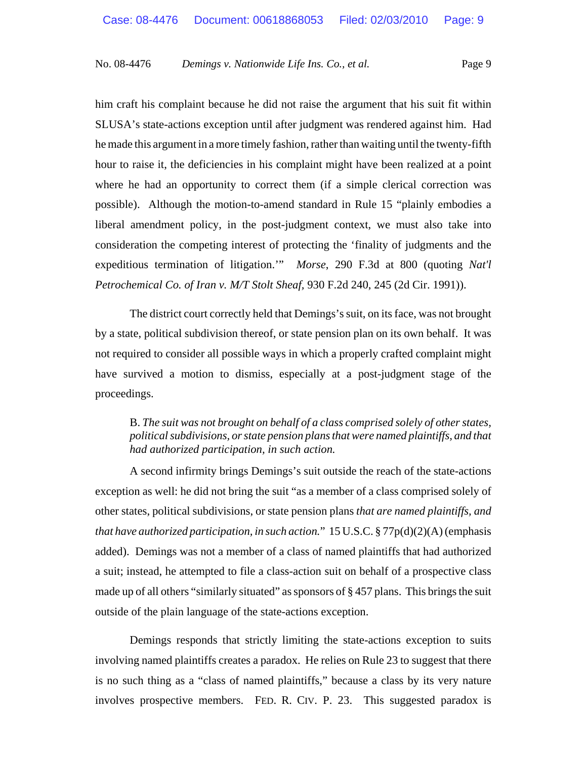him craft his complaint because he did not raise the argument that his suit fit within SLUSA's state-actions exception until after judgment was rendered against him. Had he made this argument in a more timely fashion, rather than waiting until the twenty-fifth hour to raise it, the deficiencies in his complaint might have been realized at a point where he had an opportunity to correct them (if a simple clerical correction was possible). Although the motion-to-amend standard in Rule 15 "plainly embodies a liberal amendment policy, in the post-judgment context, we must also take into consideration the competing interest of protecting the 'finality of judgments and the expeditious termination of litigation.'" *Morse*, 290 F.3d at 800 (quoting *Nat'l Petrochemical Co. of Iran v. M/T Stolt Sheaf,* 930 F.2d 240, 245 (2d Cir. 1991)).

The district court correctly held that Demings's suit, on its face, was not brought by a state, political subdivision thereof, or state pension plan on its own behalf. It was not required to consider all possible ways in which a properly crafted complaint might have survived a motion to dismiss, especially at a post-judgment stage of the proceedings.

B. *The suit was not brought on behalf of a class comprised solely of other states, political subdivisions, or state pension plans that were named plaintiffs, and that had authorized participation, in such action.* 

A second infirmity brings Demings's suit outside the reach of the state-actions exception as well: he did not bring the suit "as a member of a class comprised solely of other states, political subdivisions, or state pension plans *that are named plaintiffs, and that have authorized participation, in such action.*" 15 U.S.C. § 77p(d)(2)(A) (emphasis added). Demings was not a member of a class of named plaintiffs that had authorized a suit; instead, he attempted to file a class-action suit on behalf of a prospective class made up of all others "similarly situated" as sponsors of § 457 plans. This brings the suit outside of the plain language of the state-actions exception.

Demings responds that strictly limiting the state-actions exception to suits involving named plaintiffs creates a paradox. He relies on Rule 23 to suggest that there is no such thing as a "class of named plaintiffs," because a class by its very nature involves prospective members. FED. R. CIV. P. 23. This suggested paradox is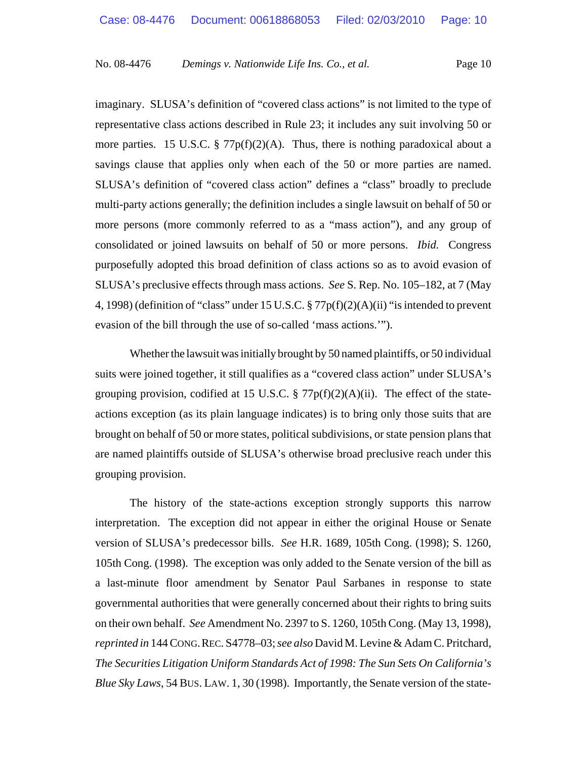imaginary. SLUSA's definition of "covered class actions" is not limited to the type of representative class actions described in Rule 23; it includes any suit involving 50 or more parties. 15 U.S.C. §  $77p(f)(2)(A)$ . Thus, there is nothing paradoxical about a savings clause that applies only when each of the 50 or more parties are named. SLUSA's definition of "covered class action" defines a "class" broadly to preclude multi-party actions generally; the definition includes a single lawsuit on behalf of 50 or more persons (more commonly referred to as a "mass action"), and any group of consolidated or joined lawsuits on behalf of 50 or more persons. *Ibid.* Congress purposefully adopted this broad definition of class actions so as to avoid evasion of SLUSA's preclusive effects through mass actions. *See* S. Rep. No. 105–182, at 7 (May 4, 1998) (definition of "class" under 15 U.S.C. § 77p(f)(2)(A)(ii) "is intended to prevent evasion of the bill through the use of so-called 'mass actions.'").

Whether the lawsuit was initially brought by 50 named plaintiffs, or 50 individual suits were joined together, it still qualifies as a "covered class action" under SLUSA's grouping provision, codified at 15 U.S.C.  $\S 77p(f)(2)(A)(ii)$ . The effect of the stateactions exception (as its plain language indicates) is to bring only those suits that are brought on behalf of 50 or more states, political subdivisions, or state pension plans that are named plaintiffs outside of SLUSA's otherwise broad preclusive reach under this grouping provision.

The history of the state-actions exception strongly supports this narrow interpretation. The exception did not appear in either the original House or Senate version of SLUSA's predecessor bills. *See* H.R. 1689, 105th Cong. (1998); S. 1260, 105th Cong. (1998). The exception was only added to the Senate version of the bill as a last-minute floor amendment by Senator Paul Sarbanes in response to state governmental authorities that were generally concerned about their rights to bring suits on their own behalf. *See* Amendment No. 2397 to S. 1260, 105th Cong. (May 13, 1998), *reprinted in* 144 CONG.REC. S4778–03; *see also* David M. Levine & Adam C. Pritchard, *The Securities Litigation Uniform Standards Act of 1998: The Sun Sets On California's Blue Sky Laws*, 54 BUS. LAW. 1, 30 (1998). Importantly, the Senate version of the state-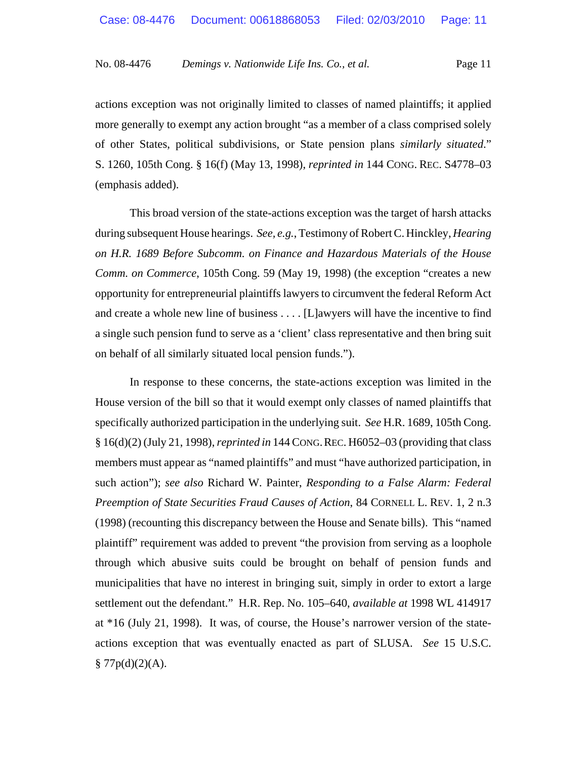actions exception was not originally limited to classes of named plaintiffs; it applied more generally to exempt any action brought "as a member of a class comprised solely of other States, political subdivisions, or State pension plans *similarly situated*." S. 1260, 105th Cong. § 16(f) (May 13, 1998), *reprinted in* 144 CONG. REC. S4778–03 (emphasis added).

This broad version of the state-actions exception was the target of harsh attacks during subsequent House hearings. *See, e.g.*, Testimony of Robert C. Hinckley, *Hearing on H.R. 1689 Before Subcomm. on Finance and Hazardous Materials of the House Comm. on Commerce*, 105th Cong. 59 (May 19, 1998) (the exception "creates a new opportunity for entrepreneurial plaintiffs lawyers to circumvent the federal Reform Act and create a whole new line of business . . . . [L]awyers will have the incentive to find a single such pension fund to serve as a 'client' class representative and then bring suit on behalf of all similarly situated local pension funds.").

In response to these concerns, the state-actions exception was limited in the House version of the bill so that it would exempt only classes of named plaintiffs that specifically authorized participation in the underlying suit. *See* H.R. 1689, 105th Cong. § 16(d)(2) (July 21, 1998), *reprinted in* 144 CONG.REC. H6052–03 (providing that class members must appear as "named plaintiffs" and must "have authorized participation, in such action"); *see also* Richard W. Painter, *Responding to a False Alarm: Federal Preemption of State Securities Fraud Causes of Action*, 84 CORNELL L. REV. 1, 2 n.3 (1998) (recounting this discrepancy between the House and Senate bills). This "named plaintiff" requirement was added to prevent "the provision from serving as a loophole through which abusive suits could be brought on behalf of pension funds and municipalities that have no interest in bringing suit, simply in order to extort a large settlement out the defendant." H.R. Rep. No. 105–640, *available at* 1998 WL 414917 at \*16 (July 21, 1998). It was, of course, the House's narrower version of the stateactions exception that was eventually enacted as part of SLUSA. *See* 15 U.S.C.  $§ 77p(d)(2)(A).$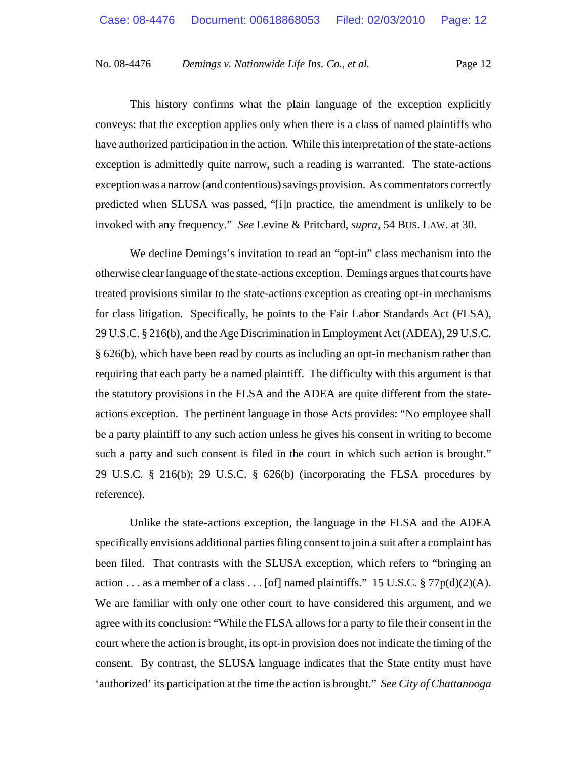This history confirms what the plain language of the exception explicitly conveys: that the exception applies only when there is a class of named plaintiffs who have authorized participation in the action. While this interpretation of the state-actions exception is admittedly quite narrow, such a reading is warranted. The state-actions exception was a narrow (and contentious) savings provision. As commentators correctly predicted when SLUSA was passed, "[i]n practice, the amendment is unlikely to be invoked with any frequency." *See* Levine & Pritchard, *supra*, 54 BUS. LAW. at 30.

We decline Demings's invitation to read an "opt-in" class mechanism into the otherwise clear language of the state-actions exception. Demings argues that courts have treated provisions similar to the state-actions exception as creating opt-in mechanisms for class litigation. Specifically, he points to the Fair Labor Standards Act (FLSA), 29 U.S.C. § 216(b), and the Age Discrimination in Employment Act (ADEA), 29 U.S.C. § 626(b), which have been read by courts as including an opt-in mechanism rather than requiring that each party be a named plaintiff. The difficulty with this argument is that the statutory provisions in the FLSA and the ADEA are quite different from the stateactions exception. The pertinent language in those Acts provides: "No employee shall be a party plaintiff to any such action unless he gives his consent in writing to become such a party and such consent is filed in the court in which such action is brought." 29 U.S.C. § 216(b); 29 U.S.C. § 626(b) (incorporating the FLSA procedures by reference).

Unlike the state-actions exception, the language in the FLSA and the ADEA specifically envisions additional parties filing consent to join a suit after a complaint has been filed. That contrasts with the SLUSA exception, which refers to "bringing an action . . . as a member of a class . . . [of] named plaintiffs." 15 U.S.C.  $\frac{8}{77p(d)(2)(A)}$ . We are familiar with only one other court to have considered this argument, and we agree with its conclusion: "While the FLSA allows for a party to file their consent in the court where the action is brought, its opt-in provision does not indicate the timing of the consent. By contrast, the SLUSA language indicates that the State entity must have 'authorized' its participation at the time the action is brought." *See City of Chattanooga*